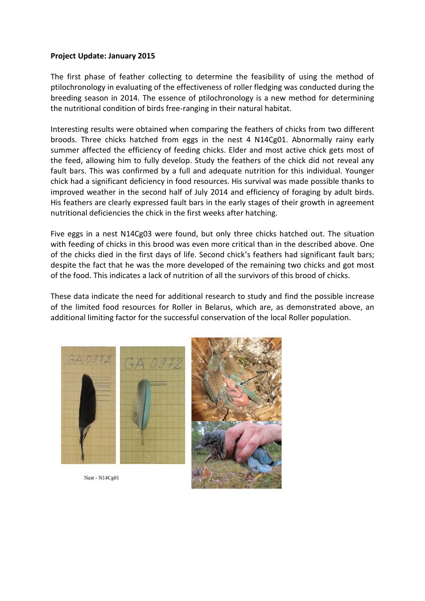## **Project Update: January 2015**

The first phase of feather collecting to determine the feasibility of using the method of ptilochronology in evaluating of the effectiveness of roller fledging was conducted during the breeding season in 2014. The essence of ptilochronology is a new method for determining the nutritional condition of birds free-ranging in their natural habitat.

Interesting results were obtained when comparing the feathers of chicks from two different broods. Three chicks hatched from eggs in the nest 4 N14Cg01. Abnormally rainy early summer affected the efficiency of feeding chicks. Elder and most active chick gets most of the feed, allowing him to fully develop. Study the feathers of the chick did not reveal any fault bars. This was confirmed by a full and adequate nutrition for this individual. Younger chick had a significant deficiency in food resources. His survival was made possible thanks to improved weather in the second half of July 2014 and efficiency of foraging by adult birds. His feathers are clearly expressed fault bars in the early stages of their growth in agreement nutritional deficiencies the chick in the first weeks after hatching.

Five eggs in a nest N14Cg03 were found, but only three chicks hatched out. The situation with feeding of chicks in this brood was even more critical than in the described above. One of the chicks died in the first days of life. Second chick's feathers had significant fault bars; despite the fact that he was the more developed of the remaining two chicks and got most of the food. This indicates a lack of nutrition of all the survivors of this brood of chicks.

These data indicate the need for additional research to study and find the possible increase of the limited food resources for Roller in Belarus, which are, as demonstrated above, an additional limiting factor for the successful conservation of the local Roller population.



Nest - N14Cg01